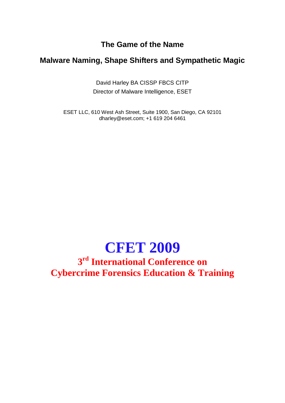**The Game of the Name** 

### **Malware Naming, Shape Shifters and Sympathetic Magic**

David Harley BA CISSP FBCS CITP Director of Malware Intelligence, ESET

ESET LLC, 610 West Ash Street, Suite 1900, San Diego, CA 92101 [dharley@eset.com;](mailto:dharley@eset.com) +1 619 204 6461

# **CFET 2009**

**3rd International Conference on Cybercrime Forensics Education & Training**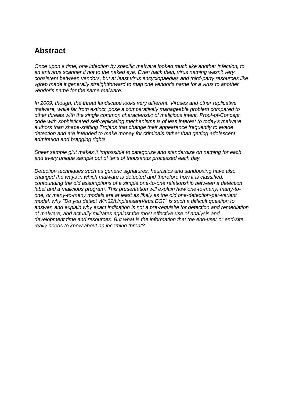### **Abstract**

*Once upon a time, one infection by specific malware looked much like another infection, to an antivirus scanner if not to the naked eye. Even back then, virus naming wasn't very consistent between vendors, but at least virus encyclopaedias and third-party resources like vgrep made it generally straightforward to map one vendor's name for a virus to another vendor's name for the same malware.*

*In 2009, though, the threat landscape looks very different. Viruses and other replicative malware, while far from extinct, pose a comparatively manageable problem compared to other threats with the single common characteristic of malicious intent. Proof-of-Concept code with sophisticated self-replicating mechanisms is of less interest to today's malware authors than shape-shifting Trojans that change their appearance frequently to evade detection and are intended to make money for criminals rather than getting adolescent admiration and bragging rights.*

*Sheer sample glut makes it impossible to categorize and standardize on naming for each and every unique sample out of tens of thousands processed each day.*

*Detection techniques such as generic signatures, heuristics and sandboxing have also changed the ways in which malware is detected and therefore how it is classified, confounding the old assumptions of a simple one-to-one relationship between a detection label and a malicious program. This presentation will explain how one-to-many, many-toone, or many-to-many models are at least as likely as the old one-detection-per-variant model, why "Do you detect Win32/UnpleasantVirus.EG?" is such a difficult question to answer, and explain why exact indication is not a pre-requisite for detection and remediation of malware, and actually militates against the most effective use of analysis and development time and resources. But what is the information that the end-user or end-site really needs to know about an incoming threat?*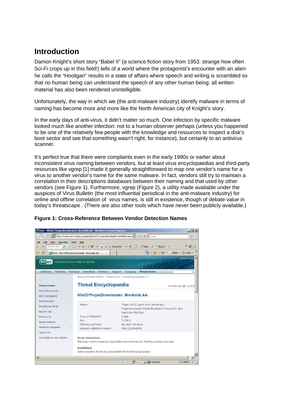### **Introduction**

Damon Knight's short story "Babel II" (a science fiction story from 1953: strange how often Sci-Fi crops up in this field!) tells of a world where the protagonist's encounter with an alien he calls the "Hooligan" results in a state of affairs where speech and writing is scrambled so that no human being can understand the speech of any other human being: all written material has also been rendered unintelligible.

Unfortunately, the way in which we (the anti-malware industry) identify malware in terms of naming has become more and more like the North American city of Knight's story.

In the early days of anti-virus, it didn't matter so much. One infection by specific malware looked much like another infection: not to a human observer perhaps (unless you happened to be one of the relatively few people with the knowledge and resources to inspect a disk's boot sector and see that something wasn't right, for instance), but certainly to an antivirus scanner.

It's perfect true that there were complaints even in the early 1990s or earlier about inconsistent virus naming between vendors, but at least virus encyclopaedias and third-party resources like vgrep [1] made it generally straightforward to map one vendor's name for a virus to another vendor's name for the same malware. In fact, vendors still try to maintain a correlation in their descriptions databases between their naming and that used by other vendors (see Figure 1). Furthermore, vgrep (Figure 2), a utility made available under the auspices of Virus Bulletin (the most influential periodical in the anti-malware industry) for online and offline correlation of virus names, is still in existence, though of debate value in today's threatscape . (There are also other tools which have never been publicly available.)

|                                                              | <b>C</b> Eset - Win32/TrojanDownloader. Bredolab.AA - Windows Internet Explorer                                                               |                                      |                                                    |  | $ \Box$ $\times$                          |
|--------------------------------------------------------------|-----------------------------------------------------------------------------------------------------------------------------------------------|--------------------------------------|----------------------------------------------------|--|-------------------------------------------|
|                                                              | http://www.eset.eu/encyclopaedia/win32-trojandownloader-bredolab-aa-in v                                                                      |                                      | $\left \leftarrow\right $ $\times$ $\left $ Google |  | - م                                       |
| Edit<br>Favorites<br>View<br>File<br>Search web <b>p</b> + + | Tools<br>Help<br>→ ⊕ → ♥ → ™ → ☆ Favorites → / Z ☆ Maps → 百 Blog It →<br>$\mathbb{R}^m$                                                       |                                      |                                                    |  |                                           |
| ☆<br>- 492                                                   | Eset - Win32/TrojanDownloader. Bredolab.AA                                                                                                    |                                      |                                                    |  | 合 同 ● Breage ① Tools →                    |
| $\epsilon$ sen                                               | we protect your digital worlds                                                                                                                |                                      |                                                    |  | Global sites                              |
| <b>Solutions</b><br><b>Products</b>                          | Purchase<br><b>Download</b><br><b>Partners</b>                                                                                                | <b>Support</b><br>Company            | <b>Threat Center</b>                               |  |                                           |
|                                                              | Antivirus Software NOD32 > Threat Center > Threat Encyclopaedia > T                                                                           |                                      |                                                    |  |                                           |
| <b>Threat Center</b>                                         | <b>Threat Encyclopaedia</b>                                                                                                                   |                                      |                                                    |  | Print this page $[$ <sup>1</sup> Send $[$ |
| <b>Eset Online scanner</b>                                   |                                                                                                                                               |                                      |                                                    |  |                                           |
| <b>ESET SysInspector</b>                                     | Win32/TrojanDownloader. Bredolab.AA                                                                                                           |                                      |                                                    |  |                                           |
| ThreatSense®                                                 |                                                                                                                                               |                                      |                                                    |  |                                           |
| ThreatSense.Net®                                             | Aliases:<br>Trojan.Win32.Inject.abnx (Kaspersky),<br>TrojanDownloader:Win32/Bredolab.X (Microsoft), Spy-                                      |                                      |                                                    |  |                                           |
| <b>Security Tips</b>                                         |                                                                                                                                               | Agent.bw (McAfee)                    |                                                    |  |                                           |
| <b>Threat Level</b>                                          | Type of infiltration:                                                                                                                         | Trojan                               |                                                    |  |                                           |
| <b>Threat Dictionary</b>                                     | Size:                                                                                                                                         | 51200 B                              |                                                    |  |                                           |
| Threat Encyclopaedia                                         | Affected platforms:<br>Signature database version:                                                                                            | Microsoft Windows<br>4063 (20090508) |                                                    |  |                                           |
| Update info                                                  |                                                                                                                                               |                                      |                                                    |  |                                           |
| Virus Radar on vour Website                                  | <b>Short description</b><br>The trojan tries to download several files from the Internet. The files are then executed.<br><b>Installation</b> |                                      |                                                    |  |                                           |
|                                                              | When executed, the trojan copies itself into the following location:                                                                          |                                      |                                                    |  |                                           |
| $\left  \cdot \right $                                       |                                                                                                                                               |                                      |                                                    |  |                                           |
|                                                              |                                                                                                                                               | kP                                   | nternet                                            |  | 4 100%                                    |

#### **Figure 1: Cross-Reference Between Vendor Detection Names**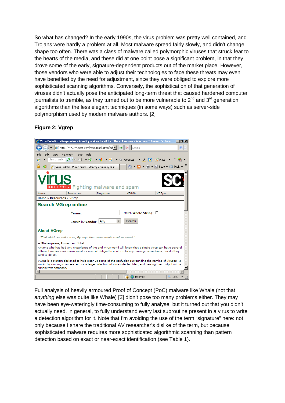So what has changed? In the early 1990s, the virus problem was pretty well contained, and Trojans were hardly a problem at all. Most malware spread fairly slowly, and didn't change shape too often. There was a class of malware called polymorphic viruses that struck fear to the hearts of the media, and these did at one point pose a significant problem, in that they drove some of the early, signature-dependent products out of the market place. However, those vendors who were able to adjust their technologies to face these threats may even have benefited by the need for adjustment, since they were obliged to explore more sophisticated scanning algorithms. Conversely, the sophistication of that generation of viruses didn't actually pose the anticipated long-term threat that caused hardened computer journalists to tremble, as they turned out to be more vulnerable to  $2^{nd}$  and  $3^{rd}$  generation algorithms than the less elegant techniques (in some ways) such as server-side polymorphism used by modern malware authors. [2]

#### **Figure 2: Vgrep**

|                                                                                                 |                                                    |                                                                      | Virus Bulletin: VGrep online - identify a virus by all its different names - Windows Internet Explorer                                                                                                                  |                                         | $\Box$                        |
|-------------------------------------------------------------------------------------------------|----------------------------------------------------|----------------------------------------------------------------------|-------------------------------------------------------------------------------------------------------------------------------------------------------------------------------------------------------------------------|-----------------------------------------|-------------------------------|
|                                                                                                 |                                                    |                                                                      | E http://www.virusbtn.com/resources/vgrep/ind v 4                                                                                                                                                                       | $\times$<br>Google                      | ۹<br>$\overline{\phantom{a}}$ |
| File                                                                                            | Edit<br>View                                       | Favorites<br>Tools<br>Help                                           |                                                                                                                                                                                                                         |                                         |                               |
| → ④ → M → → → → → Favorites → / <mark>フ</mark> → Maps<br>Search web $\bigcirc$ + + $\Box$<br>ГJ |                                                    |                                                                      |                                                                                                                                                                                                                         |                                         |                               |
| ☆<br>47                                                                                         |                                                    |                                                                      | $e$ Virus Bulletin : VGrep online - identify a virus by all it                                                                                                                                                          |                                         | 个 同 ■ Page でTools             |
|                                                                                                 | <b>/Irus</b>                                       |                                                                      | <b>BULLETIN</b> Fighting malware and spam                                                                                                                                                                               |                                         |                               |
| <b>News</b>                                                                                     |                                                    | Resources                                                            | Magazine                                                                                                                                                                                                                | <b>VB100</b>                            | VBSpam                        |
|                                                                                                 | <b>Home » Resources »</b> VGrep                    |                                                                      |                                                                                                                                                                                                                         |                                         |                               |
|                                                                                                 | <b>About VGrep</b>                                 | <b>Search VGrep online</b><br>Terms:<br>Search by <b>Vendor:</b> Any |                                                                                                                                                                                                                         | Match Whole String: $\square$<br>Search |                               |
|                                                                                                 |                                                    |                                                                      |                                                                                                                                                                                                                         |                                         |                               |
|                                                                                                 |                                                    |                                                                      |                                                                                                                                                                                                                         |                                         |                               |
|                                                                                                 |                                                    |                                                                      | 'That which we call a rose, By any other name would smell as sweet.'                                                                                                                                                    |                                         |                               |
|                                                                                                 | -- Shakespeare, Romeo and Juliet<br>tend to do so. |                                                                      | Anyone who has had any experience of the anti-virus world will know that a single virus can have several<br>different names - anti-virus vendors are not obliged to conform to any naming conventions, nor do they      |                                         |                               |
|                                                                                                 | simple text database.                              |                                                                      | VGrep is a system designed to help clear up some of the confusion surrounding the naming of viruses. It<br>works by running scanners across a large collection of virus-infected files, and parsing their output into a |                                         |                               |

Full analysis of heavily armoured Proof of Concept (PoC) malware like Whale (not that *anything* else was quite like Whale) [3] didn't pose too many problems either. They may have been eye-wateringly time-consuming to fully analyse, but it turned out that you didn't actually need, in general, to fully understand every last subroutine present in a virus to write a detection algorithm for it. Note that I'm avoiding the use of the term "signature" here: not only because I share the traditional AV researcher's dislike of the term, but because sophisticated malware requires more sophisticated algorithmic scanning than pattern detection based on exact or near-exact identification (see Table 1).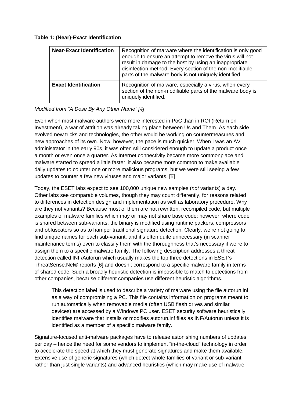#### **Table 1: (Near)-Exact Identification**

| <b>Near-Exact Identification</b> | Recognition of malware where the identification is only good<br>enough to ensure an attempt to remove the virus will not<br>result in damage to the host by using an inappropriate<br>disinfection method. Every section of the non-modifiable<br>parts of the malware body is not uniquely identified. |
|----------------------------------|---------------------------------------------------------------------------------------------------------------------------------------------------------------------------------------------------------------------------------------------------------------------------------------------------------|
| <b>Exact Identification</b>      | Recognition of malware, especially a virus, when every<br>section of the non-modifiable parts of the malware body is<br>uniquely identified.                                                                                                                                                            |

#### *Modified from "A Dose By Any Other Name" [4]*

Even when most malware authors were more interested in PoC than in ROI (Return on Investment), a war of attrition was already taking place between Us and Them. As each side evolved new tricks and technologies, the other would be working on countermeasures and new approaches of its own. Now, however, the pace is much quicker. When I was an AV administrator in the early 90s, it was often still considered enough to update a product once a month or even once a quarter. As Internet connectivity became more commonplace and malware started to spread a little faster, it also became more common to make available daily updates to counter one or more malicious programs, but we were still seeing a few updates to counter a few new viruses and major variants. [5]

Today, the ESET labs expect to see 100,000 unique new samples (*not* variants) a day. Other labs see comparable volumes, though they may count differently, for reasons related to differences in detection design and implementation as well as laboratory procedure. Why are they not variants? Because most of them are not rewritten, recompiled code, but multiple examples of malware families which may or may not share base code: however, where code is shared between sub-variants, the binary is modified using runtime packers, compressors and obfuscators so as to hamper traditional signature detection. Clearly, we're not going to find unique names for each sub-variant, and it's often quite unnecessary (in scanner maintenance terms) even to classify them with the thoroughness that's necessary if we're to assign them to a specific malware family. The following description addresses a threat detection called INF/Autorun which usually makes the top three detections in ESET's ThreatSense.Net® reports [6] and doesn't correspond to a specific malware family in terms of shared code. Such a broadly heuristic detection is impossible to match to detections from other companies, because different companies use different heuristic algorithms.

This detection label is used to describe a variety of malware using the file autorun.inf as a way of compromising a PC. This file contains information on programs meant to run automatically when removable media (often USB flash drives and similar devices) are accessed by a Windows PC user. ESET security software heuristically identifies malware that installs or modifies autorun.inf files as INF/Autorun unless it is identified as a member of a specific malware family.

Signature-focused anti-malware packages have to release astonishing numbers of updates per day – hence the need for some vendors to implement "in-the-cloud" technology in order to accelerate the speed at which they must generate signatures and make them available. Extensive use of generic signatures (which detect whole families of variant or sub-variant rather than just single variants) and advanced heuristics (which may make use of malware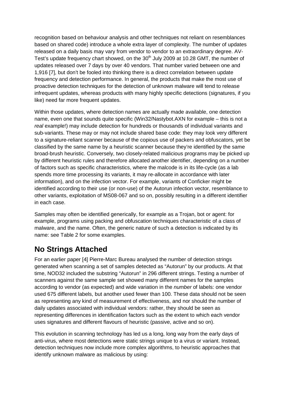recognition based on behaviour analysis and other techniques not reliant on resemblances based on shared code) introduce a whole extra layer of complexity. The number of updates released on a daily basis may vary from vendor to vendor to an extraordinary degree. AV-Test's update frequency chart showed, on the  $30<sup>th</sup>$  July 2009 at 10.28 GMT, the number of updates released over 7 days by over 40 vendors. That number varied between one and 1,916 [7], but don't be fooled into thinking there is a direct correlation between update frequency and detection performance. In general, the products that make the most use of proactive detection techniques for the detection of unknown malware will tend to release infrequent updates, whereas products with many highly specific detections (signatures, if you like) need far more frequent updates.

Within those updates, where detection names are actually made available, one detection name, even one that sounds quite specific (Win32/Nastybot.AXN for example – this is not a *real* example!) may include detection for hundreds or thousands of individual variants and sub-variants. These may or may not include shared base code: they may look very different to a signature-reliant scanner because of the copious use of packers and obfuscators, yet be classified by the same name by a heuristic scanner because they're identified by the same broad-brush heuristic. Conversely, two closely-related malicious programs may be picked up by different heuristic rules and therefore allocated another identifier, depending on a number of factors such as specific characteristics, where the malcode is in its life-cycle (as a lab spends more time processing its variants, it may re-allocate in accordance with later information), and on the infection vector. For example, variants of Conficker might be identified according to their use (or non-use) of the Autorun infection vector, resemblance to other variants, exploitation of MS08-067 and so on, possibly resulting in a different identifier in each case.

Samples may often be identified generically, for example as a Trojan, bot or agent: for example, programs using packing and obfuscation techniques characteristic of a class of malware, and the name. Often, the generic nature of such a detection is indicated by its name: see Table 2 for some examples.

### **No Strings Attached**

For an earlier paper [4] Pierre-Marc Bureau analysed the number of detection strings generated when scanning a set of samples detected as "Autorun" by our products. At that time, NOD32 included the substring "Autorun" in 296 different strings. Testing a number of scanners against the same sample set showed many different names for the samples according to vendor (as expected) and wide variation in the *number* of labels: one vendor used 675 different labels, but another used fewer than 100. These data should not be seen as representing any kind of measurement of effectiveness, and nor should the number of daily updates associated with individual vendors: rather, they should be seen as representing differences in identification factors such as the extent to which each vendor uses signatures and different flavours of heuristic (passive, active and so on).

This evolution in scanning technology has led us a long, long way from the early days of anti-virus, where most detections were static strings unique to a virus or variant. Instead, detection techniques now include more complex algorithms, to heuristic approaches that identify unknown malware as malicious by using: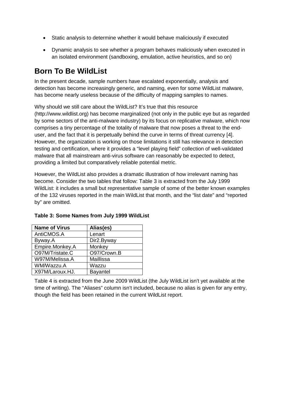- Static analysis to determine whether it would behave maliciously if executed
- Dynamic analysis to see whether a program behaves maliciously when executed in an isolated environment (sandboxing, emulation, active heuristics, and so on)

### **Born To Be WildList**

In the present decade, sample numbers have escalated exponentially, analysis and detection has become increasingly generic, and naming, even for some WildList malware, has become nearly useless because of the difficulty of mapping samples to names.

Why should we still care about the WildList? It's true that this resource [\(http://www.wildlist.org\)](http://www.wildlist.org/) has become marginalized (not only in the public eye but as regarded by some sectors of the anti-malware industry) by its focus on replicative malware, which now comprises a tiny percentage of the totality of malware that now poses a threat to the enduser, and the fact that it is perpetually behind the curve in terms of threat currency [4]. However, the organization is working on those limitations it still has relevance in detection testing and certification, where it provides a "level playing field" collection of well-validated malware that all mainstream anti-virus software can reasonably be expected to detect, providing a limited but comparatively reliable potential metric.

However, the WildList also provides a dramatic illustration of how irrelevant naming has become. Consider the two tables that follow: Table 3 is extracted from the July 1999 WildList: it includes a small but representative sample of some of the better known examples of the 132 viruses reported in the main WildList that month, and the "list date" and "reported by" are omitted.

| <b>Name of Virus</b> | Alias(es)   |
|----------------------|-------------|
| AntiCMOS.A           | Lenart      |
| Byway.A              | Dir2.Byway  |
| Empire.Monkey.A      | Monkey      |
| O97M/Tristate.C      | O97/Crown.B |
| W97M/Melissa.A       | Maillissa   |
| WM/Wazzu.A           | Wazzu       |
| X97M/Laroux.HJ.      | Bayantel    |

#### **Table 3: Some Names from July 1999 WildList**

Table 4 is extracted from the June 2009 WildList (the July WildList isn't yet available at the time of writing). The "Aliases" column isn't included, because no alias is given for any entry, though the field has been retained in the current WildList report.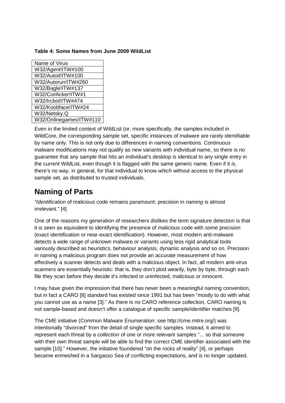#### **Table 4: Some Names from June 2009 WildList**

| Name of Virus           |
|-------------------------|
| W32/Agent!ITW#100       |
| W32/Autoit!ITW#100      |
| W32/Autorun!ITW#260     |
| W32/Bagle!ITW#137       |
| W32/Conficker!ITW#1     |
| W32/Ircbot!ITW#474      |
| W32/Koobface!ITW#24     |
| W32/Netsky.Q            |
| W32/Onlinegames!ITW#110 |

Even in the limited context of WildList (or, more specifically, the samples included in WildCore, the corresponding sample set, specific instances of malware are rarely identifiable by name only. This is not only due to differences in naming conventions. Continuous malware modifications may not qualify as new variants with individual name, so there is no guarantee that any sample that hits an individual's desktop is identical to any single entry in the current WildList, even though it is flagged with the same generic name. Even if it *is*, there's no way, in general, for that individual to know *which* without access to the physical sample set, as distributed to trusted individuals.

### **Naming of Parts**

*"Identification* of malicious code remains paramount: precision in *naming* is almost irrelevant." [4]

One of the reasons my generation of researchers dislikes the term signature detection is that it is seen as equivalent to identifying the presence of malicious code with some precision (exact identification or near-exact identification). However, most modern anti-malware detects a wide range of unknown malware or variants using less rigid analytical tools variously described as heuristics, behaviour analysis, dynamic analysis and so on. Precision in naming a malicious program does not provide an accurate measurement of how effectively a scanner detects and deals with a malicious object. In fact, all modern anti-virus scanners are essentially heuristic: that is, they don't plod wearily, byte by byte, through each file they scan before they decide it's infected or uninfected, malicious or innocent.

I may have given the impression that there has never been a meaningful naming convention, but in fact a CARO [8] standard has existed since 1991 but has been "mostly to do with what you cannot use as a name [3]." As there is no CARO reference collection, CARO naming is not sample-based and doesn't offer a catalogue of specific sample/identifier matches [9].

The CME initiative (Common Malware Enumeration: see [http://cme.mitre.org/\)](http://cme.mitre.org/) was intentionally "divorced" from the detail of single specific samples. Instead, it aimed to represent each threat by a *collection* of one or more relevant samples "... so that someone with their own threat sample will be able to find the correct CME identifier associated with the sample [10]." However, the initiative foundered "on the rocks of reality" [4], or perhaps became enmeshed in a Sargasso Sea of conflicting expectations, and is no longer updated.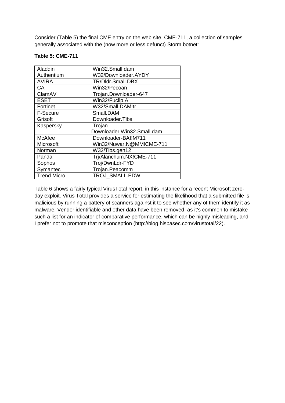Consider (Table 5) the final CME entry on the web site, CME-711, a collection of samples generally associated with the (now more or less defunct) Storm botnet:

#### **Table 5: CME-711**

| Aladdin            | Win32.Small.dam            |
|--------------------|----------------------------|
| Authentium         | W32/Downloader.AYDY        |
| <b>AVIRA</b>       | TR/Dldr.Small.DBX          |
| CA                 | Win32/Pecoan               |
| ClamAV             | Trojan.Downloader-647      |
| <b>ESET</b>        | Win32/Fuclip.A             |
| Fortinet           | W32/Small.DAM!tr           |
| F-Secure           | Small.DAM                  |
| Grisoft            | Downloader.Tibs            |
| Kaspersky          | Trojan-                    |
|                    | Downloader.Win32.Small.dam |
| McAfee             | Downloader-BAI!M711        |
| Microsoft          | Win32/Nuwar.N@MM!CME-711   |
| Norman             | W32/Tibs.gen12             |
| Panda              | Trj/Alanchum.NX!CME-711    |
| Sophos             | Troj/DwnLdr-FYD            |
| Symantec           | Trojan.Peacomm             |
| <b>Trend Micro</b> | <b>TROJ SMALL.EDW</b>      |

Table 6 shows a fairly typical VirusTotal report, in this instance for a recent Microsoft zeroday exploit. Virus Total provides a service for estimating the likelihood that a submitted file is malicious by running a battery of scanners against it to see whether any of them identify it as malware. Vendor identifiable and other data have been removed, as it's common to mistake such a list for an indicator of comparative performance, which can be highly misleading, and I prefer not to promote that misconception (http://blog.hispasec.com/virustotal/22).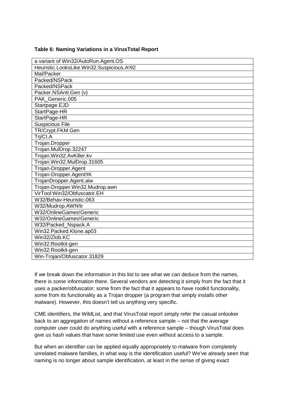#### **Table 6: Naming Variations in a VirusTotal Report**

| a variant of Win32/AutoRun.Agent.OS       |
|-------------------------------------------|
| Heuristic.LooksLike.Win32.Suspicious.A!92 |
| Mal/Packer                                |
| Packed/NSPack                             |
| Packed/NSPack                             |
| Packer.NSAnti.Gen (v)                     |
| PAK Generic.005                           |
| Startpage.EJD                             |
| StartPage-HR                              |
| StartPage-HR                              |
| <b>Suspicious File</b>                    |
| TR/Crypt.FKM.Gen                          |
| Trj/CI.A                                  |
| Trojan.Dropper                            |
| Trojan.MulDrop.32247                      |
| Trojan.Win32.AvKiller.kv                  |
| Trojan.Win32.MulDrop.31605                |
| Trojan-Dropper.Agent                      |
| Trojan-Dropper.Agent!IK                   |
| TrojanDropper.Agent.aiw                   |
| Trojan-Dropper.Win32.Mudrop.awn           |
| VirTool:Win32/Obfuscator.EH               |
| W32/Behav-Heuristic-063                   |
| W32/Mudrop.AWN!tr                         |
| W32/OnlineGames!Generic                   |
| W32/OnlineGames!Generic                   |
| W32/Packed_Nspack.A                       |
| Win32.Packed.Klone.ap03                   |
| Win32/Zlob.KC                             |
| Win32:Rootkit-gen                         |
| Win32:Rootkit-gen                         |
| Win-Trojan/Obfuscator.31829               |

If we break down the information in this list to see what we can deduce from the names, there is *some* information there. Several vendors are detecting it simply from the fact that it uses a packer/obfuscator; some from the fact that it appears to have rootkit functionality, some from its functionality as a Trojan dropper (a program that simply installs other malware). However, this doesn't tell us anything very specific.

CME identifiers, the WildList, and that VirusTotal report simply refer the casual onlooker back to an aggregation of names without a reference sample – not that the average computer user could do anything useful with a reference sample – though VirusTotal does give us hash values that have some limited use even without access to a sample.

But when an identifier can be applied equally appropriately to malware from completely unrelated malware families, in what way is the identification useful? We've already seen that naming is no longer about sample identification, at least in the sense of giving exact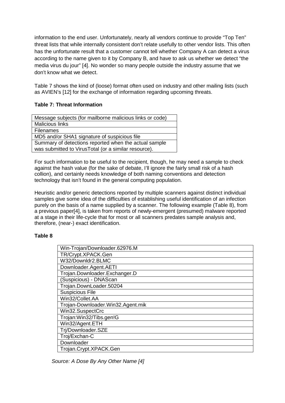information to the end user. Unfortunately, nearly all vendors continue to provide "Top Ten" threat lists that while internally consistent don't relate usefully to other vendor lists. This often has the unfortunate result that a customer cannot tell whether Company A can detect a virus according to the name given to it by Company B, and have to ask us whether we detect "the media virus du jour" [4]. No wonder so many people outside the industry assume that we don't know what we detect.

Table 7 shows the kind of (loose) format often used on industry and other mailing lists (such as AVIEN's [12] for the exchange of information regarding upcoming threats.

#### **Table 7: Threat Information**

| Message subjects (for mailborne malicious links or code) |
|----------------------------------------------------------|
| <b>Malicious links</b>                                   |
| <b>Filenames</b>                                         |
| MD5 and/or SHA1 signature of suspicious file             |
| Summary of detections reported when the actual sample    |
| was submitted to VirusTotal (or a similar resource).     |

For such information to be useful to the recipient, though, he may need a sample to check against the hash value (for the sake of debate, I'll ignore the fairly small risk of a hash collion), and certainly needs knowledge of both naming conventions and detection technology that isn't found in the general computing population.

Heuristic and/or generic detections reported by multiple scanners against distinct individual samples give some idea of the difficulties of establishing useful identification of an infection purely on the basis of a name supplied by a scanner. The following example (Table 8), from a previous paper[4], is taken from reports of newly-emergent (presumed) malware reported at a stage in their life-cycle that for most or all scanners predates sample analysis and, therefore, (near-) exact identification.

#### **Table 8**

| Win-Trojan/Downloader.62976.M     |
|-----------------------------------|
| TR/Crypt.XPACK.Gen                |
| W32/Downldr2.BLMC                 |
| Downloader.Agent.AETI             |
| Trojan.Downloader.Exchanger.D     |
| (Suspicious) - DNAScan            |
| Trojan.DownLoader.50204           |
| <b>Suspicious File</b>            |
| Win32/Collet.AA                   |
| Trojan-Downloader.Win32.Agent.mik |
| Win32.SuspectCrc                  |
| Trojan:Win32/Tibs.gen!G           |
| Win32/Agent.ETH                   |
| Trj/Downloader.SZE                |
| Troj/Exchan-C                     |
| Downloader                        |
| Trojan.Crypt.XPACK.Gen            |

*Source: A Dose By Any Other Name [4]*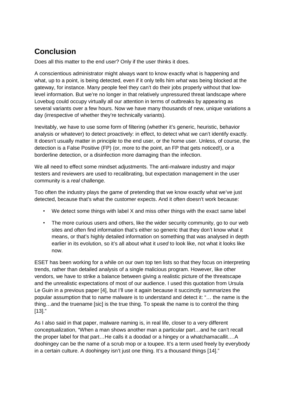## **Conclusion**

Does all this matter to the end user? Only if the user thinks it does.

A conscientious administrator might always want to know exactly what is happening and what, up to a point, is being detected, even if it only tells him *what* was being blocked at the gateway, for instance. Many people feel they can't do their jobs properly without that lowlevel information. But we're no longer in that relatively unpressured threat landscape where Lovebug could occupy virtually all our attention in terms of outbreaks by appearing as several variants over a few hours. Now we have many thousands of new, unique variations a day (irrespective of whether they're technically variants).

Inevitably, we have to use some form of filtering (whether it's generic, heuristic, behavior analysis or whatever) to detect proactively: in effect, to detect what we can't identify exactly. It doesn't usually matter in principle to the end user, or the home user. Unless, of course, the detection is a False Positive (FP) (or, more to the point, an FP that gets noticed!), or a borderline detection, or a disinfection more damaging than the infection.

We all need to effect some mindset adjustments. The anti-malware industry and major testers and reviewers are used to recalibrating, but expectation management in the user community is a *real* challenge.

Too often the industry plays the game of pretending that we know exactly what we've just detected, because that's what the customer expects. And it often doesn't work because:

- We detect some things with label X and miss other things with the exact same label
- The more curious users and others, like the wider security community, go to our web sites and often find information that's either so generic that they don't know what it means, or that's highly detailed information on something that was analysed in depth earlier in its evolution, so it's all about what it *used* to look like, not what it looks like now.

ESET has been working for a while on our own top ten lists so that they focus on interpreting trends, rather than detailed analysis of a single malicious program. However, like other vendors, we have to strike a balance between giving a realistic picture of the threatscape and the unrealistic expectations of most of our audience. I used this quotation from Ursula Le Guin in a previous paper [4], but I'll use it again because it succinctly summarizes the popular assumption that to name malware is to understand and detect it: "… the name is the thing…and the truename [sic] is the true thing. To speak the name is to control the thing  $[13]$ ."

As I also said in that paper, malware naming is, in real life, closer to a very different conceptualization, "When a man shows another man a particular part…and he can't recall the proper label for that part…He calls it a doodad or a hingey or a whatchamacallit….A doohingey can be the name of a scrub mop or a toupee. It's a term used freely by everybody in a certain culture. A doohingey isn't just one thing. It's a thousand things [14]."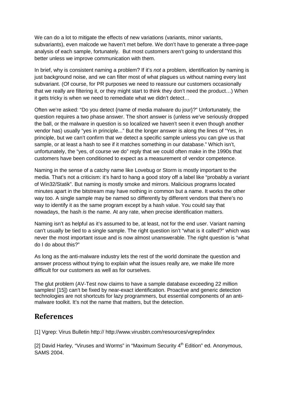We can do a lot to mitigate the effects of new variations (variants, minor variants, subvariants), even malcode we haven't met before. We don't have to generate a three-page analysis of each sample, fortunately. But most customers aren't going to understand this better unless we improve communication with them.

In brief, why is consistent naming a problem? If it's *not* a problem, identification by naming is just background noise, and we can filter most of what plagues us without naming every last subvariant. (Of course, for PR purposes we need to reassure our customers occasionally that we really are filtering it, or they might start to think they don't need the product…) When it gets tricky is when we need to remediate what we didn't detect…

Often we're asked: "Do you detect {name of media malware du jour}?" Unfortunately, the question requires a two phase answer. The short answer is (unless we've seriously dropped the ball, or the malware in question is so localized we haven't seen it even though another vendor has) usually "yes in principle..." But the longer answer is along the lines of "Yes, in principle, but we can't confirm that we detect a specific sample unless you can give us that sample, or at least a hash to see if it matches something in our database." Which isn't, unfortunately, the "yes, of course we do" reply that we could often make in the 1990s that customers have been conditioned to expect as a measurement of vendor competence.

Naming in the sense of a catchy name like Lovebug or Storm is mostly important to the media. That's not a criticism: it's hard to hang a good story off a label like "probably a variant of Win32/Statik". But naming is mostly smoke and mirrors. Malicious programs located minutes apart in the bitstream may have nothing in common but a name. It works the other way too. A single sample may be named so differently by different vendors that there's no way to identify it as the same program except by a hash value. You could say that nowadays, the hash *is* the name. At any rate, when precise identification matters.

Naming isn't as helpful as it's assumed to be, at least, not for the end user. Variant naming can't usually be tied to a single sample. The right question isn't "what is it called?" which was never the most important issue and is now almost unanswerable. The right question is "what do I do about this?"

As long as the anti-malware industry lets the rest of the world dominate the question and answer process without trying to explain what the issues really are, we make life more difficult for our customers as well as for ourselves.

The glut problem (AV-Test now claims to have a sample database exceeding 22 million samples! [15]) can't be fixed by near-exact identification. Proactive and generic detection technologies are not shortcuts for lazy programmers, but essential components of an antimalware toolkit. It's not the name that matters, but the detection.

### **References**

[1] Vgrep: Virus Bulletin http://<http://www.virusbtn.com/resources/vgrep/index>

[2] David Harley, "Viruses and Worms" in "Maximum Security  $4<sup>th</sup>$  Edition" ed. Anonymous, SAMS 2004.